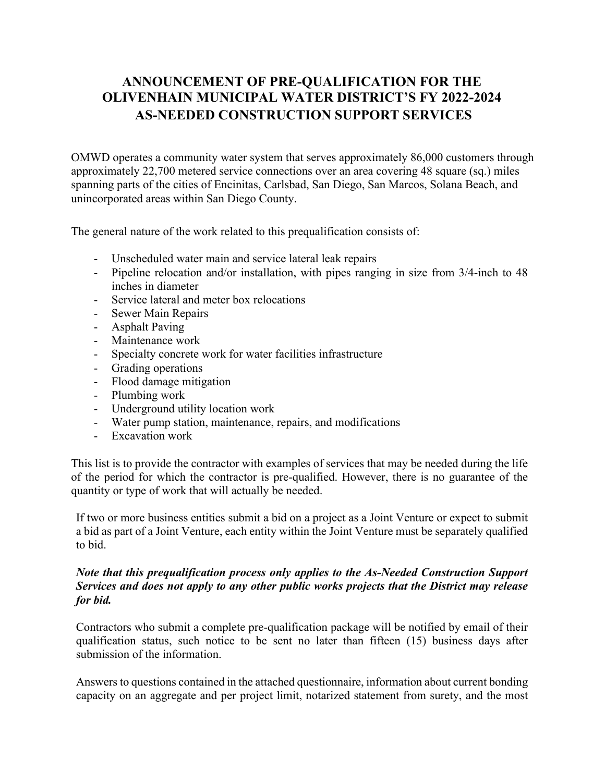# **ANNOUNCEMENT OF PRE-QUALIFICATION FOR THE OLIVENHAIN MUNICIPAL WATER DISTRICT'S FY 2022-2024 AS-NEEDED CONSTRUCTION SUPPORT SERVICES**

OMWD operates a community water system that serves approximately 86,000 customers through approximately 22,700 metered service connections over an area covering 48 square (sq.) miles spanning parts of the cities of Encinitas, Carlsbad, San Diego, San Marcos, Solana Beach, and unincorporated areas within San Diego County.

The general nature of the work related to this prequalification consists of:

- Unscheduled water main and service lateral leak repairs
- Pipeline relocation and/or installation, with pipes ranging in size from 3/4-inch to 48 inches in diameter
- Service lateral and meter box relocations
- Sewer Main Repairs
- Asphalt Paving
- Maintenance work
- Specialty concrete work for water facilities infrastructure
- Grading operations
- Flood damage mitigation
- Plumbing work
- Underground utility location work
- Water pump station, maintenance, repairs, and modifications
- Excavation work

This list is to provide the contractor with examples of services that may be needed during the life of the period for which the contractor is pre-qualified. However, there is no guarantee of the quantity or type of work that will actually be needed.

If two or more business entities submit a bid on a project as a Joint Venture or expect to submit a bid as part of a Joint Venture, each entity within the Joint Venture must be separately qualified to bid.

#### *Note that this prequalification process only applies to the As-Needed Construction Support Services and does not apply to any other public works projects that the District may release for bid.*

Contractors who submit a complete pre-qualification package will be notified by email of their qualification status, such notice to be sent no later than fifteen (15) business days after submission of the information.

Answers to questions contained in the attached questionnaire, information about current bonding capacity on an aggregate and per project limit, notarized statement from surety, and the most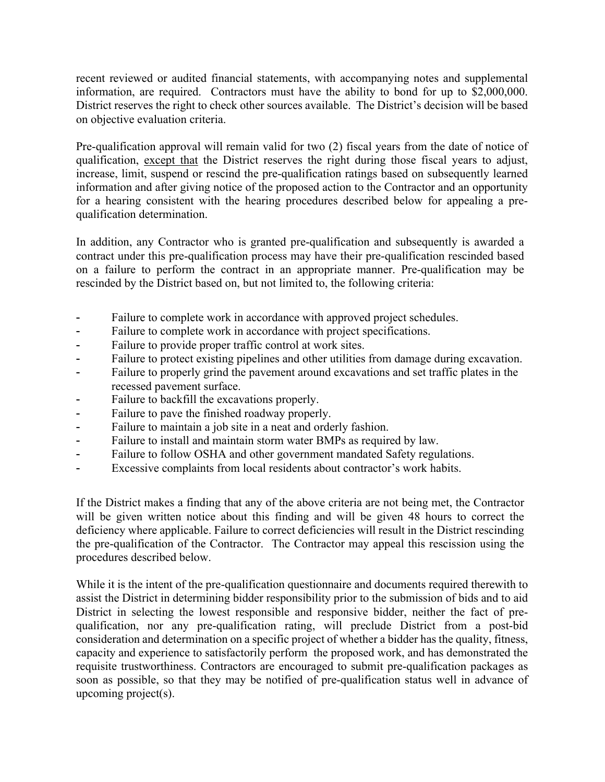recent reviewed or audited financial statements, with accompanying notes and supplemental information, are required. Contractors must have the ability to bond for up to \$2,000,000. District reserves the right to check other sources available. The District's decision will be based on objective evaluation criteria.

Pre-qualification approval will remain valid for two (2) fiscal years from the date of notice of qualification, except that the District reserves the right during those fiscal years to adjust, increase, limit, suspend or rescind the pre-qualification ratings based on subsequently learned information and after giving notice of the proposed action to the Contractor and an opportunity for a hearing consistent with the hearing procedures described below for appealing a prequalification determination.

In addition, any Contractor who is granted pre-qualification and subsequently is awarded a contract under this pre-qualification process may have their pre-qualification rescinded based on a failure to perform the contract in an appropriate manner. Pre-qualification may be rescinded by the District based on, but not limited to, the following criteria:

- Failure to complete work in accordance with approved project schedules.
- Failure to complete work in accordance with project specifications.
- Failure to provide proper traffic control at work sites.
- Failure to protect existing pipelines and other utilities from damage during excavation.
- Failure to properly grind the pavement around excavations and set traffic plates in the recessed pavement surface.
- Failure to backfill the excavations properly.
- Failure to pave the finished roadway properly.
- Failure to maintain a job site in a neat and orderly fashion.
- Failure to install and maintain storm water BMPs as required by law.
- Failure to follow OSHA and other government mandated Safety regulations.
- Excessive complaints from local residents about contractor's work habits.

If the District makes a finding that any of the above criteria are not being met, the Contractor will be given written notice about this finding and will be given 48 hours to correct the deficiency where applicable. Failure to correct deficiencies will result in the District rescinding the pre-qualification of the Contractor. The Contractor may appeal this rescission using the procedures described below.

While it is the intent of the pre-qualification questionnaire and documents required therewith to assist the District in determining bidder responsibility prior to the submission of bids and to aid District in selecting the lowest responsible and responsive bidder, neither the fact of prequalification, nor any pre-qualification rating, will preclude District from a post-bid consideration and determination on a specific project of whether a bidder has the quality, fitness, capacity and experience to satisfactorily perform the proposed work, and has demonstrated the requisite trustworthiness. Contractors are encouraged to submit pre-qualification packages as soon as possible, so that they may be notified of pre-qualification status well in advance of upcoming project(s).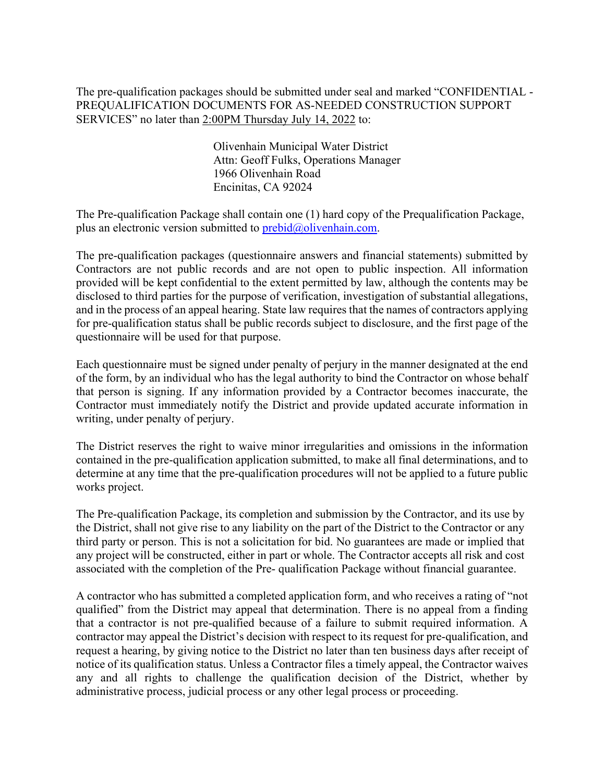The pre-qualification packages should be submitted under seal and marked "CONFIDENTIAL - PREQUALIFICATION DOCUMENTS FOR AS-NEEDED CONSTRUCTION SUPPORT SERVICES" no later than 2:00PM Thursday July 14, 2022 to:

> Olivenhain Municipal Water District Attn: Geoff Fulks, Operations Manager 1966 Olivenhain Road Encinitas, CA 92024

The Pre-qualification Package shall contain one (1) hard copy of the Prequalification Package, plus an electronic version submitted to  $\text{prebid@olivenhain.com}.$ 

The pre-qualification packages (questionnaire answers and financial statements) submitted by Contractors are not public records and are not open to public inspection. All information provided will be kept confidential to the extent permitted by law, although the contents may be disclosed to third parties for the purpose of verification, investigation of substantial allegations, and in the process of an appeal hearing. State law requires that the names of contractors applying for pre-qualification status shall be public records subject to disclosure, and the first page of the questionnaire will be used for that purpose.

Each questionnaire must be signed under penalty of perjury in the manner designated at the end of the form, by an individual who has the legal authority to bind the Contractor on whose behalf that person is signing. If any information provided by a Contractor becomes inaccurate, the Contractor must immediately notify the District and provide updated accurate information in writing, under penalty of perjury.

The District reserves the right to waive minor irregularities and omissions in the information contained in the pre-qualification application submitted, to make all final determinations, and to determine at any time that the pre-qualification procedures will not be applied to a future public works project.

The Pre-qualification Package, its completion and submission by the Contractor, and its use by the District, shall not give rise to any liability on the part of the District to the Contractor or any third party or person. This is not a solicitation for bid. No guarantees are made or implied that any project will be constructed, either in part or whole. The Contractor accepts all risk and cost associated with the completion of the Pre- qualification Package without financial guarantee.

A contractor who has submitted a completed application form, and who receives a rating of "not qualified" from the District may appeal that determination. There is no appeal from a finding that a contractor is not pre-qualified because of a failure to submit required information. A contractor may appeal the District's decision with respect to its request for pre-qualification, and request a hearing, by giving notice to the District no later than ten business days after receipt of notice of its qualification status. Unless a Contractor files a timely appeal, the Contractor waives any and all rights to challenge the qualification decision of the District, whether by administrative process, judicial process or any other legal process or proceeding.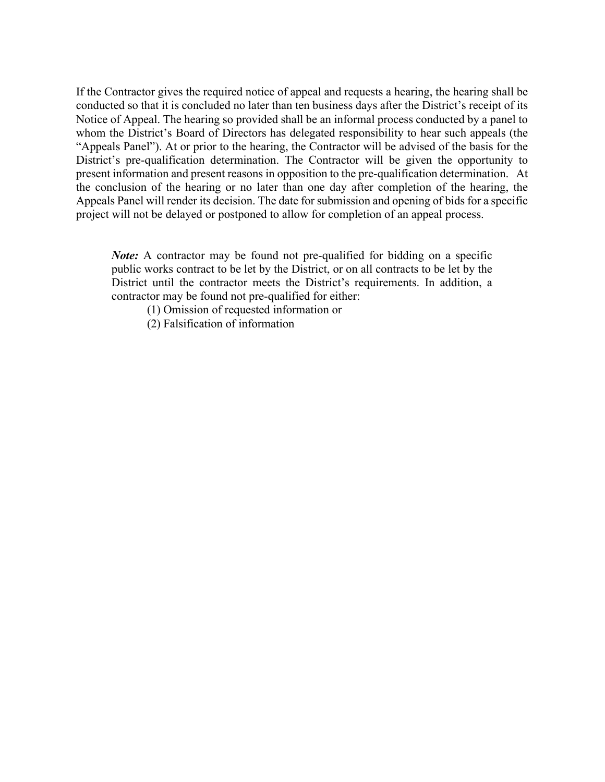If the Contractor gives the required notice of appeal and requests a hearing, the hearing shall be conducted so that it is concluded no later than ten business days after the District's receipt of its Notice of Appeal. The hearing so provided shall be an informal process conducted by a panel to whom the District's Board of Directors has delegated responsibility to hear such appeals (the "Appeals Panel"). At or prior to the hearing, the Contractor will be advised of the basis for the District's pre-qualification determination. The Contractor will be given the opportunity to present information and present reasons in opposition to the pre-qualification determination. At the conclusion of the hearing or no later than one day after completion of the hearing, the Appeals Panel will render its decision. The date for submission and opening of bids for a specific project will not be delayed or postponed to allow for completion of an appeal process.

*Note:* A contractor may be found not pre-qualified for bidding on a specific public works contract to be let by the District, or on all contracts to be let by the District until the contractor meets the District's requirements. In addition, a contractor may be found not pre-qualified for either:

(1) Omission of requested information or

(2) Falsification of information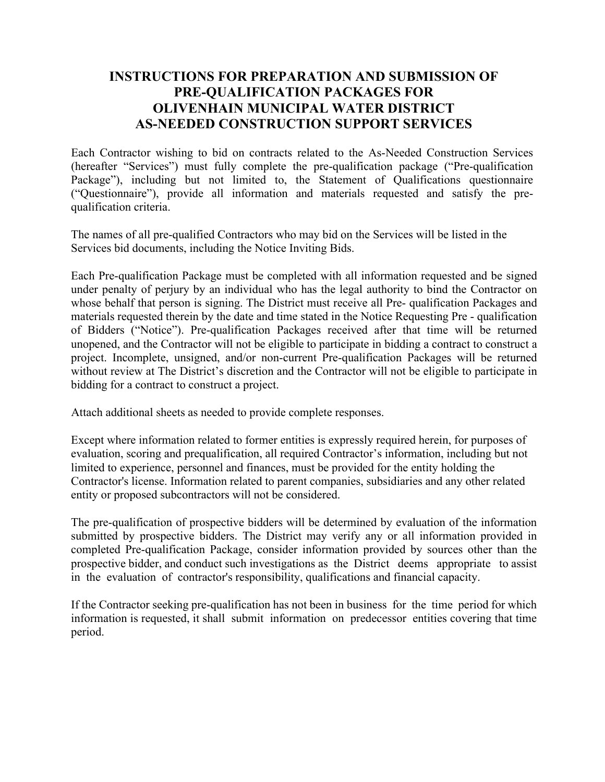# **INSTRUCTIONS FOR PREPARATION AND SUBMISSION OF PRE-QUALIFICATION PACKAGES FOR OLIVENHAIN MUNICIPAL WATER DISTRICT AS-NEEDED CONSTRUCTION SUPPORT SERVICES**

Each Contractor wishing to bid on contracts related to the As-Needed Construction Services (hereafter "Services") must fully complete the pre-qualification package ("Pre-qualification Package"), including but not limited to, the Statement of Qualifications questionnaire ("Questionnaire"), provide all information and materials requested and satisfy the prequalification criteria.

The names of all pre-qualified Contractors who may bid on the Services will be listed in the Services bid documents, including the Notice Inviting Bids.

Each Pre-qualification Package must be completed with all information requested and be signed under penalty of perjury by an individual who has the legal authority to bind the Contractor on whose behalf that person is signing. The District must receive all Pre- qualification Packages and materials requested therein by the date and time stated in the Notice Requesting Pre - qualification of Bidders ("Notice"). Pre-qualification Packages received after that time will be returned unopened, and the Contractor will not be eligible to participate in bidding a contract to construct a project. Incomplete, unsigned, and/or non-current Pre-qualification Packages will be returned without review at The District's discretion and the Contractor will not be eligible to participate in bidding for a contract to construct a project.

Attach additional sheets as needed to provide complete responses.

Except where information related to former entities is expressly required herein, for purposes of evaluation, scoring and prequalification, all required Contractor's information, including but not limited to experience, personnel and finances, must be provided for the entity holding the Contractor's license. Information related to parent companies, subsidiaries and any other related entity or proposed subcontractors will not be considered.

The pre-qualification of prospective bidders will be determined by evaluation of the information submitted by prospective bidders. The District may verify any or all information provided in completed Pre-qualification Package, consider information provided by sources other than the prospective bidder, and conduct such investigations as the District deems appropriate to assist in the evaluation of contractor's responsibility, qualifications and financial capacity.

If the Contractor seeking pre-qualification has not been in business for the time period for which information is requested, it shall submit information on predecessor entities covering that time period.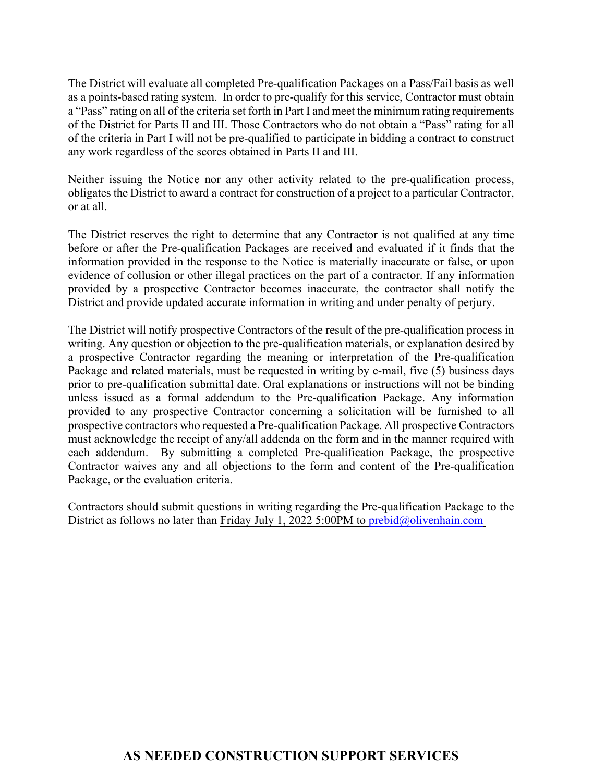The District will evaluate all completed Pre-qualification Packages on a Pass/Fail basis as well as a points-based rating system. In order to pre-qualify for this service, Contractor must obtain a "Pass" rating on all of the criteria set forth in Part I and meet the minimum rating requirements of the District for Parts II and III. Those Contractors who do not obtain a "Pass" rating for all of the criteria in Part I will not be pre-qualified to participate in bidding a contract to construct any work regardless of the scores obtained in Parts II and III.

Neither issuing the Notice nor any other activity related to the pre-qualification process, obligates the District to award a contract for construction of a project to a particular Contractor, or at all.

The District reserves the right to determine that any Contractor is not qualified at any time before or after the Pre-qualification Packages are received and evaluated if it finds that the information provided in the response to the Notice is materially inaccurate or false, or upon evidence of collusion or other illegal practices on the part of a contractor. If any information provided by a prospective Contractor becomes inaccurate, the contractor shall notify the District and provide updated accurate information in writing and under penalty of perjury.

The District will notify prospective Contractors of the result of the pre-qualification process in writing. Any question or objection to the pre-qualification materials, or explanation desired by a prospective Contractor regarding the meaning or interpretation of the Pre-qualification Package and related materials, must be requested in writing by e-mail, five (5) business days prior to pre-qualification submittal date. Oral explanations or instructions will not be binding unless issued as a formal addendum to the Pre-qualification Package. Any information provided to any prospective Contractor concerning a solicitation will be furnished to all prospective contractors who requested a Pre-qualification Package. All prospective Contractors must acknowledge the receipt of any/all addenda on the form and in the manner required with each addendum. By submitting a completed Pre-qualification Package, the prospective Contractor waives any and all objections to the form and content of the Pre-qualification Package, or the evaluation criteria.

Contractors should submit questions in writing regarding the Pre-qualification Package to the District as follows no later than Friday July 1, 2022 5:00PM to prebid@olivenhain.com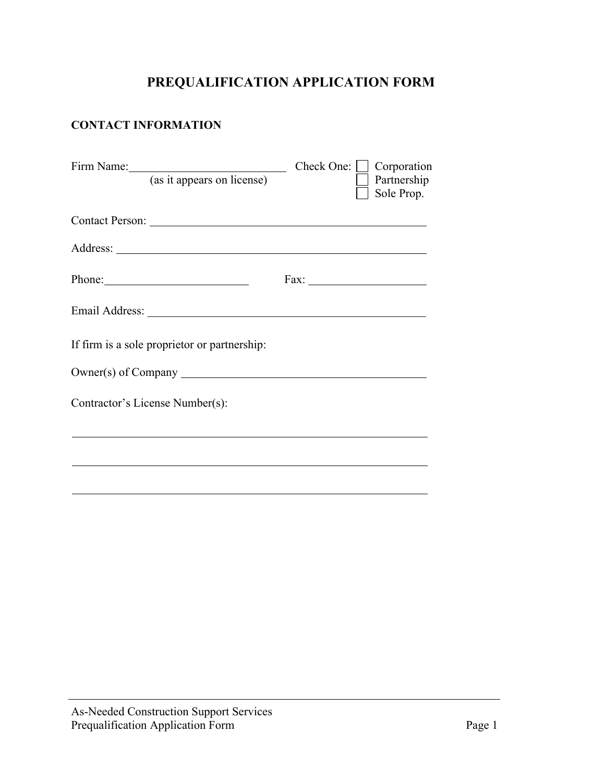# **PREQUALIFICATION APPLICATION FORM**

## **CONTACT INFORMATION**

| Firm Name: (as it appears on license)                                                                                                                                                                                          | Check One: $\Box$ Corporation<br>Partnership<br>Sole Prop. |
|--------------------------------------------------------------------------------------------------------------------------------------------------------------------------------------------------------------------------------|------------------------------------------------------------|
| Contact Person:                                                                                                                                                                                                                |                                                            |
|                                                                                                                                                                                                                                |                                                            |
| Phone: 2008 and 2008 and 2008 and 2008 and 2008 and 2008 and 2008 and 2008 and 2008 and 2008 and 2008 and 2008 and 2008 and 2008 and 2008 and 2008 and 2008 and 2008 and 2008 and 2008 and 2008 and 2008 and 2008 and 2008 and |                                                            |
|                                                                                                                                                                                                                                |                                                            |
| If firm is a sole proprietor or partnership:                                                                                                                                                                                   |                                                            |
| Owner(s) of Company                                                                                                                                                                                                            |                                                            |
| Contractor's License Number(s):                                                                                                                                                                                                |                                                            |
|                                                                                                                                                                                                                                |                                                            |
|                                                                                                                                                                                                                                |                                                            |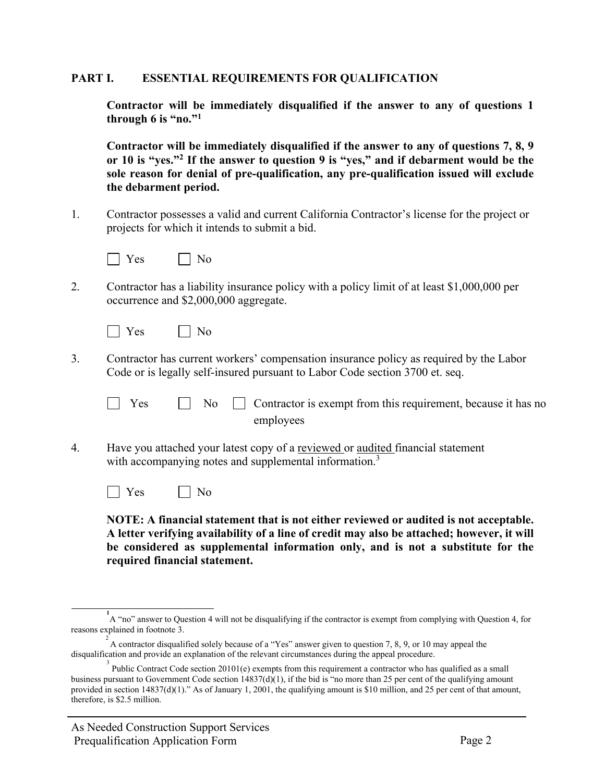#### **PART I. ESSENTIAL REQUIREMENTS FOR QUALIFICATION**

**Contractor will be immediately disqualified if the answer to any of questions 1 through 6 is "no."1**

**Contractor will be immediately disqualified if the answer to any of questions 7, 8, 9 or 10 is "yes."2 If the answer to question 9 is "yes," and if debarment would be the sole reason for denial of pre-qualification, any pre-qualification issued will exclude the debarment period.**

1. Contractor possesses a valid and current California Contractor's license for the project or projects for which it intends to submit a bid.



2. Contractor has a liability insurance policy with a policy limit of at least \$1,000,000 per occurrence and \$2,000,000 aggregate.

| $\sim$ | ገ  |
|--------|----|
| - 1    | N. |
|        |    |
|        |    |
|        |    |

3. Contractor has current workers' compensation insurance policy as required by the Labor Code or is legally self-insured pursuant to Labor Code section 3700 et. seq.

| $\Box$ Yes |  | $\Box$ No $\Box$ Contractor is exempt from this requirement, because it has no |
|------------|--|--------------------------------------------------------------------------------|
|            |  | employees                                                                      |

4. Have you attached your latest copy of a reviewed or audited financial statement with accompanying notes and supplemental information.<sup>3</sup>

No No

**NOTE: A financial statement that is not either reviewed or audited is not acceptable. A letter verifying availability of a line of credit may also be attached; however, it will be considered as supplemental information only, and is not a substitute for the required financial statement.**

**<sup>1</sup>** A "no" answer to Question 4 will not be disqualifying if the contractor is exempt from complying with Question 4, for reasons explained in footnote 3.

<sup>&</sup>lt;sup>2</sup> A contractor disqualified solely because of a "Yes" answer given to question 7, 8, 9, or 10 may appeal the disqualification and provide an explanation of the relevant circumstances during the appeal procedure.

<sup>3</sup> Public Contract Code section 20101(e) exempts from this requirement a contractor who has qualified as a small business pursuant to Government Code section  $14837(d)(1)$ , if the bid is "no more than 25 per cent of the qualifying amount provided in section 14837(d)(1)." As of January 1, 2001, the qualifying amount is \$10 million, and 25 per cent of that amount, therefore, is \$2.5 million.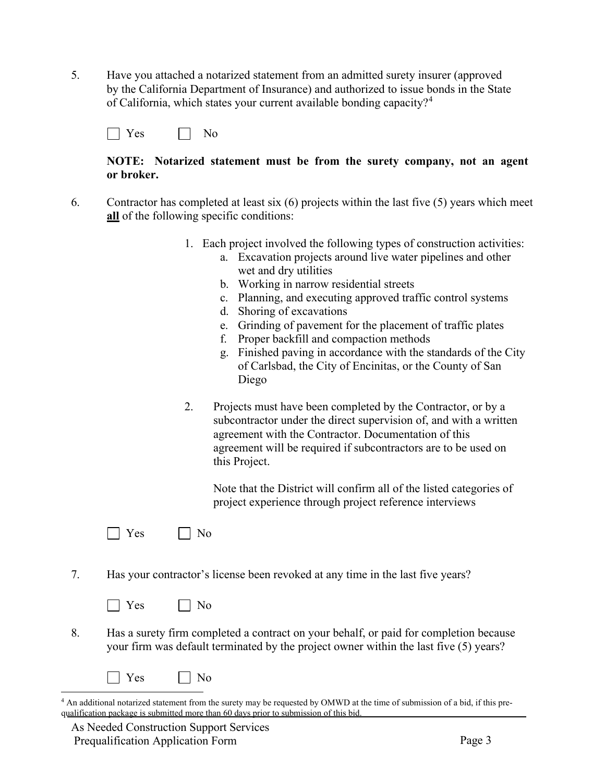5. Have you attached a notarized statement from an admitted surety insurer (approved by the California Department of Insurance) and authorized to issue bonds in the State of California, which states your current available bonding capacity?<sup>[4](#page-8-0)</sup>

| - -<br>- - |  |  |
|------------|--|--|
|------------|--|--|

#### **NOTE: Notarized statement must be from the surety company, not an agent or broker.**

- 6. Contractor has completed at least six (6) projects within the last five (5) years which meet **all** of the following specific conditions:
	- 1. Each project involved the following types of construction activities:
		- a. Excavation projects around live water pipelines and other wet and dry utilities
		- b. Working in narrow residential streets
		- c. Planning, and executing approved traffic control systems
		- d. Shoring of excavations
		- e. Grinding of pavement for the placement of traffic plates
		- f. Proper backfill and compaction methods
		- g. Finished paving in accordance with the standards of the City of Carlsbad, the City of Encinitas, or the County of San Diego
	- 2. Projects must have been completed by the Contractor, or by a subcontractor under the direct supervision of, and with a written agreement with the Contractor. Documentation of this agreement will be required if subcontractors are to be used on this Project.

Note that the District will confirm all of the listed categories of project experience through project reference interviews

| - 1 | - |
|-----|---|
|-----|---|

7. Has your contractor's license been revoked at any time in the last five years?



8. Has a surety firm completed a contract on your behalf, or paid for completion because your firm was default terminated by the project owner within the last five (5) years?

<span id="page-8-0"></span><sup>4</sup> An additional notarized statement from the surety may be requested by OMWD at the time of submission of a bid, if this prequalification package is submitted more than 60 days prior to submission of this bid.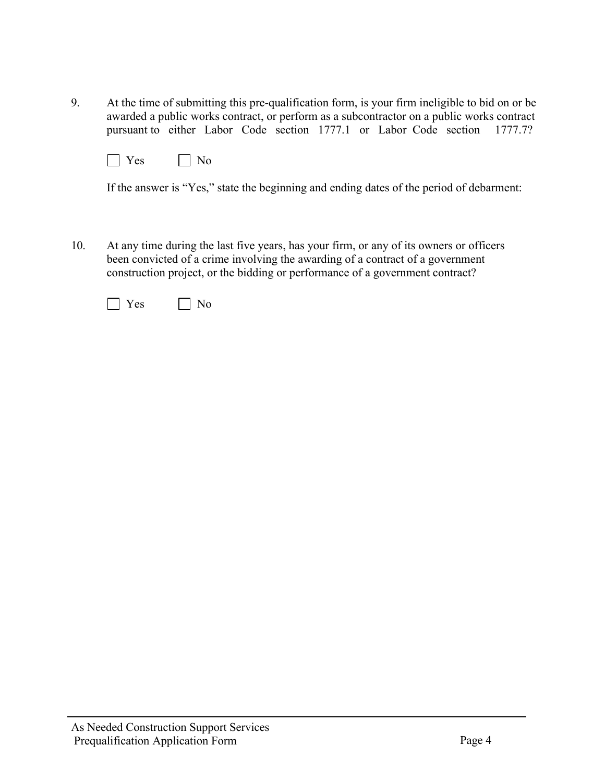9. At the time of submitting this pre-qualification form, is your firm ineligible to bid on or be awarded a public works contract, or perform as a subcontractor on a public works contract pursuant to either Labor Code section 1777.1 or Labor Code section 1777.7?

| $\sim$ | NΛ |
|--------|----|
|--------|----|

If the answer is "Yes," state the beginning and ending dates of the period of debarment:

10. At any time during the last five years, has your firm, or any of its owners or officers been convicted of a crime involving the awarding of a contract of a government construction project, or the bidding or performance of a government contract?

| $\sim$<br>- . | റ<br>- |
|---------------|--------|
|---------------|--------|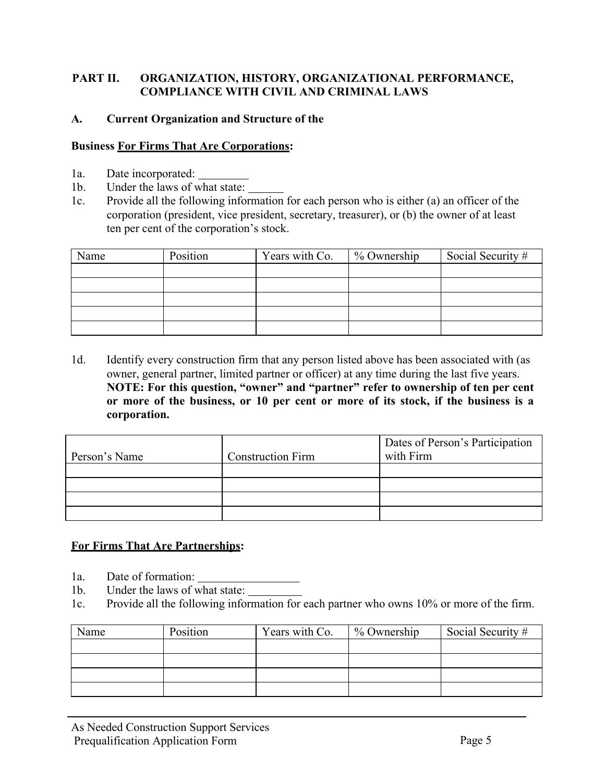## **PART II. ORGANIZATION, HISTORY, ORGANIZATIONAL PERFORMANCE, COMPLIANCE WITH CIVIL AND CRIMINAL LAWS**

## **A. Current Organization and Structure of the**

## **Business For Firms That Are Corporations:**

- 1a. Date incorporated:
- 1b. Under the laws of what state:
- 1c. Provide all the following information for each person who is either (a) an officer of the corporation (president, vice president, secretary, treasurer), or (b) the owner of at least ten per cent of the corporation's stock.

| Name | Position | Years with Co. | % Ownership | Social Security # |
|------|----------|----------------|-------------|-------------------|
|      |          |                |             |                   |
|      |          |                |             |                   |
|      |          |                |             |                   |
|      |          |                |             |                   |
|      |          |                |             |                   |

1d. Identify every construction firm that any person listed above has been associated with (as owner, general partner, limited partner or officer) at any time during the last five years. **NOTE: For this question, "owner" and "partner" refer to ownership of ten per cent or more of the business, or 10 per cent or more of its stock, if the business is a corporation.**

|               |                          | Dates of Person's Participation |
|---------------|--------------------------|---------------------------------|
| Person's Name | <b>Construction Firm</b> | with Firm                       |
|               |                          |                                 |
|               |                          |                                 |
|               |                          |                                 |
|               |                          |                                 |

## **For Firms That Are Partnerships:**

- 1a. Date of formation:
- 1b. Under the laws of what state:
- 1c. Provide all the following information for each partner who owns 10% or more of the firm.

| Name | Position | Years with Co. | % Ownership | Social Security # |
|------|----------|----------------|-------------|-------------------|
|      |          |                |             |                   |
|      |          |                |             |                   |
|      |          |                |             |                   |
|      |          |                |             |                   |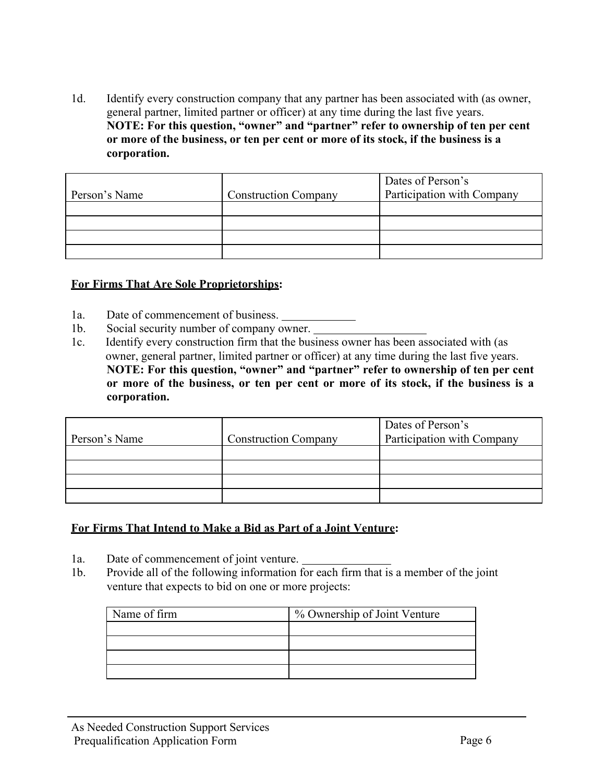1d. Identify every construction company that any partner has been associated with (as owner, general partner, limited partner or officer) at any time during the last five years. **NOTE: For this question, "owner" and "partner" refer to ownership of ten per cent or more of the business, or ten per cent or more of its stock, if the business is a corporation.**

| Person's Name | <b>Construction Company</b> | Dates of Person's<br>Participation with Company |
|---------------|-----------------------------|-------------------------------------------------|
|               |                             |                                                 |
|               |                             |                                                 |
|               |                             |                                                 |
|               |                             |                                                 |

#### **For Firms That Are Sole Proprietorships:**

- 1a. Date of commencement of business.
- 1b. Social security number of company owner.
- 1c. Identify every construction firm that the business owner has been associated with (as owner, general partner, limited partner or officer) at any time during the last five years. **NOTE: For this question, "owner" and "partner" refer to ownership of ten per cent or more of the business, or ten per cent or more of its stock, if the business is a corporation.**

| Person's Name | <b>Construction Company</b> | Dates of Person's<br>Participation with Company |
|---------------|-----------------------------|-------------------------------------------------|
|               |                             |                                                 |
|               |                             |                                                 |
|               |                             |                                                 |
|               |                             |                                                 |

#### **For Firms That Intend to Make a Bid as Part of a Joint Venture:**

- 1a. Date of commencement of joint venture.
- 1b. Provide all of the following information for each firm that is a member of the joint venture that expects to bid on one or more projects:

| Name of firm | % Ownership of Joint Venture |
|--------------|------------------------------|
|              |                              |
|              |                              |
|              |                              |
|              |                              |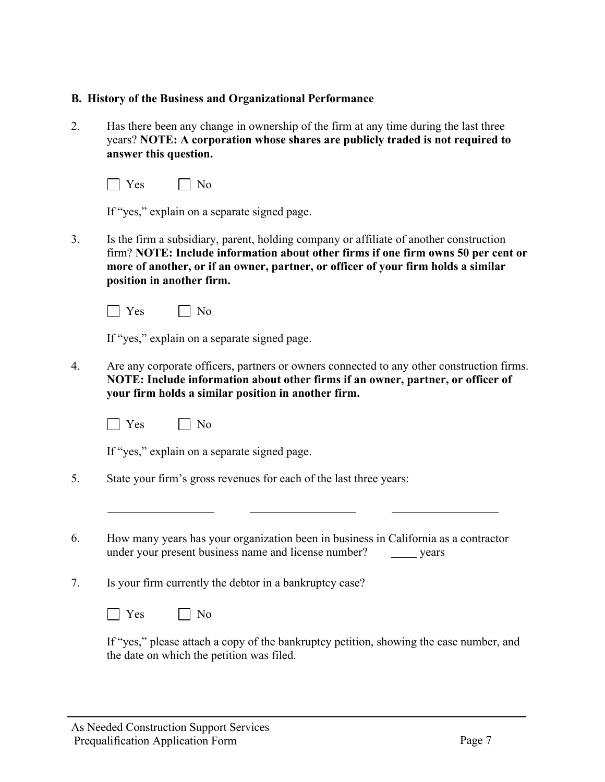## **B. History of the Business and Organizational Performance**

2. Has there been any change in ownership of the firm at any time during the last three years? **NOTE: A corporation whose shares are publicly traded is not required to answer this question.**

| --<br>- | - |
|---------|---|
|---------|---|

If "yes," explain on a separate signed page.

3. Is the firm a subsidiary, parent, holding company or affiliate of another construction firm? **NOTE: Include information about other firms if one firm owns 50 per cent or more of another, or if an owner, partner, or officer of your firm holds a similar position in another firm.**

 $\Box$  Yes  $\Box$  No

If "yes," explain on a separate signed page.

- 4. Are any corporate officers, partners or owners connected to any other construction firms. **NOTE: Include information about other firms if an owner, partner, or officer of your firm holds a similar position in another firm.**
	- $\Box$  Yes  $\Box$  No

If "yes," explain on a separate signed page.

- 5. State your firm's gross revenues for each of the last three years:
- 6. How many years has your organization been in business in California as a contractor under your present business name and license number? years
- 7. Is your firm currently the debtor in a bankruptcy case?

 $\Box$  Yes  $\Box$  No

If "yes," please attach a copy of the bankruptcy petition, showing the case number, and the date on which the petition was filed.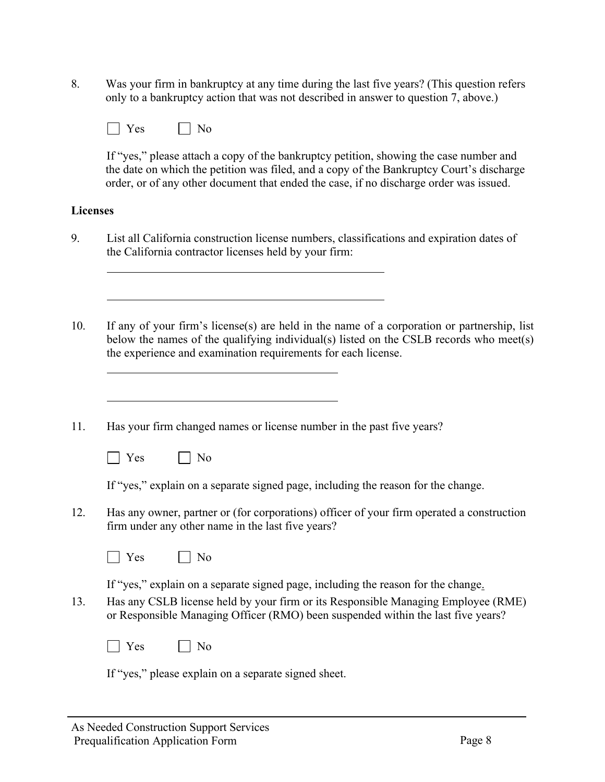8. Was your firm in bankruptcy at any time during the last five years? (This question refers only to a bankruptcy action that was not described in answer to question 7, above.)

| ' ⊖ ⊘ | NΩ |
|-------|----|
|-------|----|

If "yes," please attach a copy of the bankruptcy petition, showing the case number and the date on which the petition was filed, and a copy of the Bankruptcy Court's discharge order, or of any other document that ended the case, if no discharge order was issued.

## **Licenses**

- 9. List all California construction license numbers, classifications and expiration dates of the California contractor licenses held by your firm:
- 10. If any of your firm's license(s) are held in the name of a corporation or partnership, list below the names of the qualifying individual(s) listed on the CSLB records who meet(s) the experience and examination requirements for each license.
- 11. Has your firm changed names or license number in the past five years?
	- $\Box$  Yes  $\Box$  No

If "yes," explain on a separate signed page, including the reason for the change.

12. Has any owner, partner or (for corporations) officer of your firm operated a construction firm under any other name in the last five years?

| - - |  |
|-----|--|
|-----|--|

If "yes," explain on a separate signed page, including the reason for the change.

- 13. Has any CSLB license held by your firm or its Responsible Managing Employee (RME) or Responsible Managing Officer (RMO) been suspended within the last five years?
	- $\Box$  Yes  $\Box$  No

If "yes," please explain on a separate signed sheet.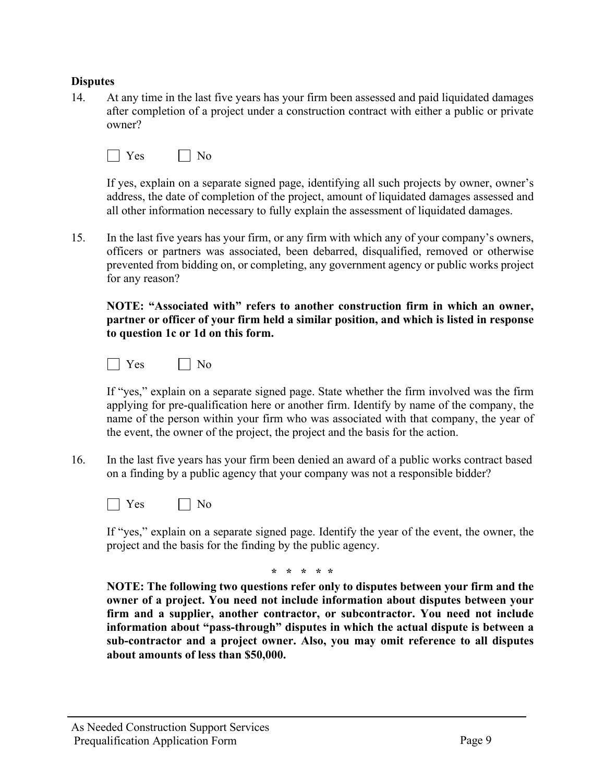## **Disputes**

14. At any time in the last five years has your firm been assessed and paid liquidated damages after completion of a project under a construction contract with either a public or private owner?

|--|--|

If yes, explain on a separate signed page, identifying all such projects by owner, owner's address, the date of completion of the project, amount of liquidated damages assessed and all other information necessary to fully explain the assessment of liquidated damages.

15. In the last five years has your firm, or any firm with which any of your company's owners, officers or partners was associated, been debarred, disqualified, removed or otherwise prevented from bidding on, or completing, any government agency or public works project for any reason?

**NOTE: "Associated with" refers to another construction firm in which an owner, partner or officer of your firm held a similar position, and which is listed in response to question 1c or 1d on this form.**



If "yes," explain on a separate signed page. State whether the firm involved was the firm applying for pre-qualification here or another firm. Identify by name of the company, the name of the person within your firm who was associated with that company, the year of the event, the owner of the project, the project and the basis for the action.

16. In the last five years has your firm been denied an award of a public works contract based on a finding by a public agency that your company was not a responsible bidder?



If "yes," explain on a separate signed page. Identify the year of the event, the owner, the project and the basis for the finding by the public agency.

**\* \* \* \* \***

**NOTE: The following two questions refer only to disputes between your firm and the owner of a project. You need not include information about disputes between your firm and a supplier, another contractor, or subcontractor. You need not include information about "pass-through" disputes in which the actual dispute is between a sub-contractor and a project owner. Also, you may omit reference to all disputes about amounts of less than \$50,000.**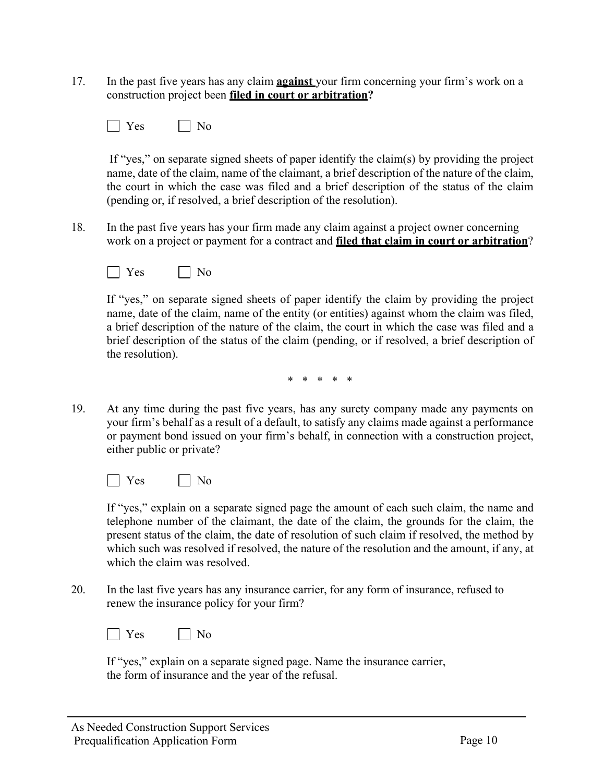- 17. In the past five years has any claim **against** your firm concerning your firm's work on a construction project been **filed in court or arbitration?**
	- $\Box$  Yes  $\Box$  No

If "yes," on separate signed sheets of paper identify the claim(s) by providing the project name, date of the claim, name of the claimant, a brief description of the nature of the claim, the court in which the case was filed and a brief description of the status of the claim (pending or, if resolved, a brief description of the resolution).

18. In the past five years has your firm made any claim against a project owner concerning work on a project or payment for a contract and **filed that claim in court or arbitration**?

No No

If "yes," on separate signed sheets of paper identify the claim by providing the project name, date of the claim, name of the entity (or entities) against whom the claim was filed, a brief description of the nature of the claim, the court in which the case was filed and a brief description of the status of the claim (pending, or if resolved, a brief description of the resolution).

\* \* \* \* \*

19. At any time during the past five years, has any surety company made any payments on your firm's behalf as a result of a default, to satisfy any claims made against a performance or payment bond issued on your firm's behalf, in connection with a construction project, either public or private?

 $\Box$  Yes  $\Box$  No

If "yes," explain on a separate signed page the amount of each such claim, the name and telephone number of the claimant, the date of the claim, the grounds for the claim, the present status of the claim, the date of resolution of such claim if resolved, the method by which such was resolved if resolved, the nature of the resolution and the amount, if any, at which the claim was resolved.

20. In the last five years has any insurance carrier, for any form of insurance, refused to renew the insurance policy for your firm?

| - - | ١<br>- |
|-----|--------|
|-----|--------|

If "yes," explain on a separate signed page. Name the insurance carrier, the form of insurance and the year of the refusal.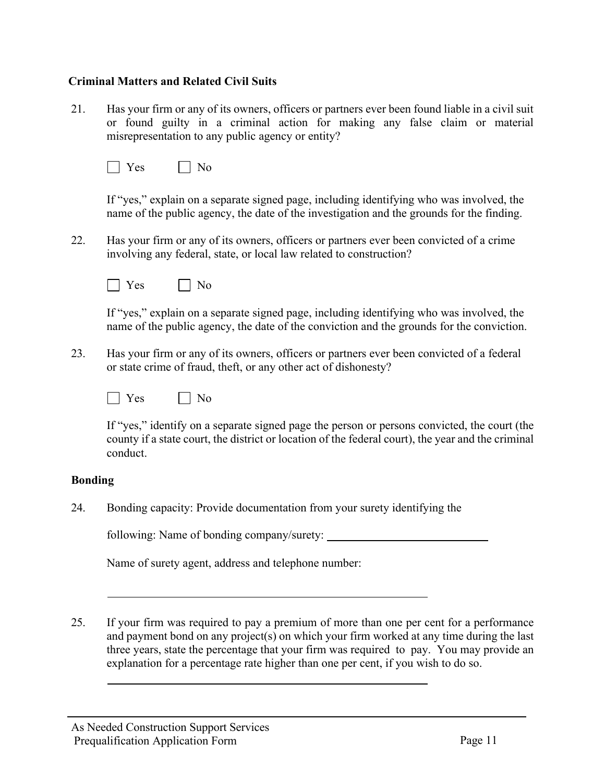## **Criminal Matters and Related Civil Suits**

21. Has your firm or any of its owners, officers or partners ever been found liable in a civil suit or found guilty in a criminal action for making any false claim or material misrepresentation to any public agency or entity?

| - |  |
|---|--|
|   |  |
|   |  |

If "yes," explain on a separate signed page, including identifying who was involved, the name of the public agency, the date of the investigation and the grounds for the finding.

22. Has your firm or any of its owners, officers or partners ever been convicted of a crime involving any federal, state, or local law related to construction?

| - | - |
|---|---|
|---|---|

If "yes," explain on a separate signed page, including identifying who was involved, the name of the public agency, the date of the conviction and the grounds for the conviction.

23. Has your firm or any of its owners, officers or partners ever been convicted of a federal or state crime of fraud, theft, or any other act of dishonesty?



If "yes," identify on a separate signed page the person or persons convicted, the court (the county if a state court, the district or location of the federal court), the year and the criminal conduct.

## **Bonding**

24. Bonding capacity: Provide documentation from your surety identifying the

following: Name of bonding company/surety:

Name of surety agent, address and telephone number:

25. If your firm was required to pay a premium of more than one per cent for a performance and payment bond on any project(s) on which your firm worked at any time during the last three years, state the percentage that your firm was required to pay. You may provide an explanation for a percentage rate higher than one per cent, if you wish to do so.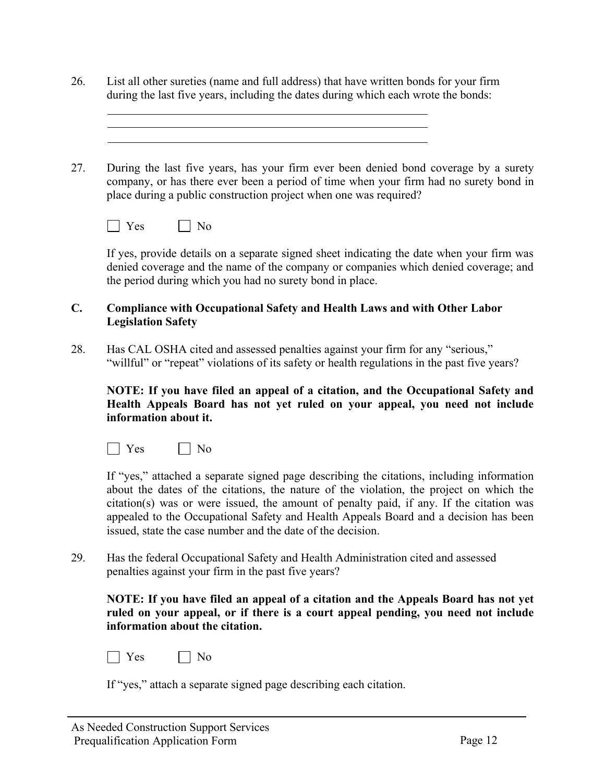26. List all other sureties (name and full address) that have written bonds for your firm during the last five years, including the dates during which each wrote the bonds:

27. During the last five years, has your firm ever been denied bond coverage by a surety company, or has there ever been a period of time when your firm had no surety bond in place during a public construction project when one was required?



If yes, provide details on a separate signed sheet indicating the date when your firm was denied coverage and the name of the company or companies which denied coverage; and the period during which you had no surety bond in place.

## **C. Compliance with Occupational Safety and Health Laws and with Other Labor Legislation Safety**

28. Has CAL OSHA cited and assessed penalties against your firm for any "serious," "willful" or "repeat" violations of its safety or health regulations in the past five years?

#### **NOTE: If you have filed an appeal of a citation, and the Occupational Safety and Health Appeals Board has not yet ruled on your appeal, you need not include information about it.**

 $\Box$  Yes  $\Box$  No

If "yes," attached a separate signed page describing the citations, including information about the dates of the citations, the nature of the violation, the project on which the citation(s) was or were issued, the amount of penalty paid, if any. If the citation was appealed to the Occupational Safety and Health Appeals Board and a decision has been issued, state the case number and the date of the decision.

29. Has the federal Occupational Safety and Health Administration cited and assessed penalties against your firm in the past five years?

**NOTE: If you have filed an appeal of a citation and the Appeals Board has not yet ruled on your appeal, or if there is a court appeal pending, you need not include information about the citation.**

|  | - |
|--|---|
|--|---|

If "yes," attach a separate signed page describing each citation.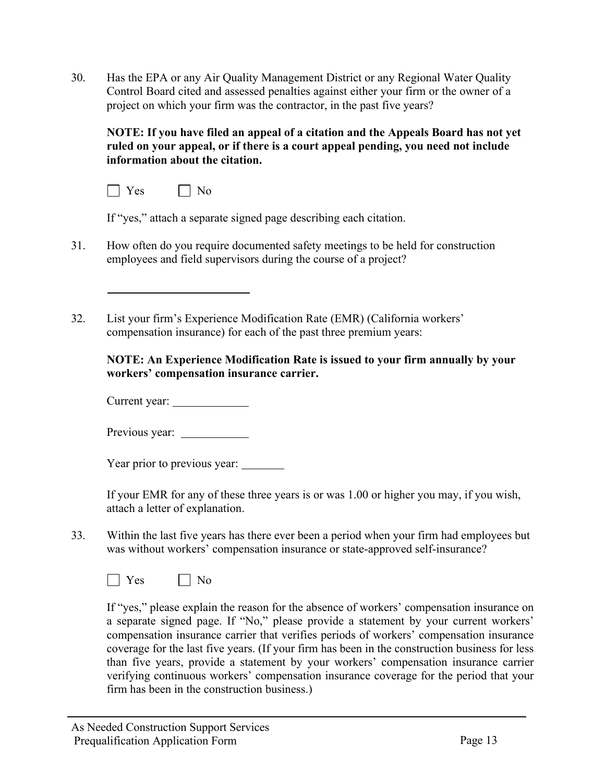30. Has the EPA or any Air Quality Management District or any Regional Water Quality Control Board cited and assessed penalties against either your firm or the owner of a project on which your firm was the contractor, in the past five years?

**NOTE: If you have filed an appeal of a citation and the Appeals Board has not yet ruled on your appeal, or if there is a court appeal pending, you need not include information about the citation.**



If "yes," attach a separate signed page describing each citation.

- 31. How often do you require documented safety meetings to be held for construction employees and field supervisors during the course of a project?
- 32. List your firm's Experience Modification Rate (EMR) (California workers' compensation insurance) for each of the past three premium years:

**NOTE: An Experience Modification Rate is issued to your firm annually by your workers' compensation insurance carrier.**

Current year:

Previous year:

Year prior to previous year:

If your EMR for any of these three years is or was 1.00 or higher you may, if you wish, attach a letter of explanation.

33. Within the last five years has there ever been a period when your firm had employees but was without workers' compensation insurance or state-approved self-insurance?



If "yes," please explain the reason for the absence of workers' compensation insurance on a separate signed page. If "No," please provide a statement by your current workers' compensation insurance carrier that verifies periods of workers' compensation insurance coverage for the last five years. (If your firm has been in the construction business for less than five years, provide a statement by your workers' compensation insurance carrier verifying continuous workers' compensation insurance coverage for the period that your firm has been in the construction business.)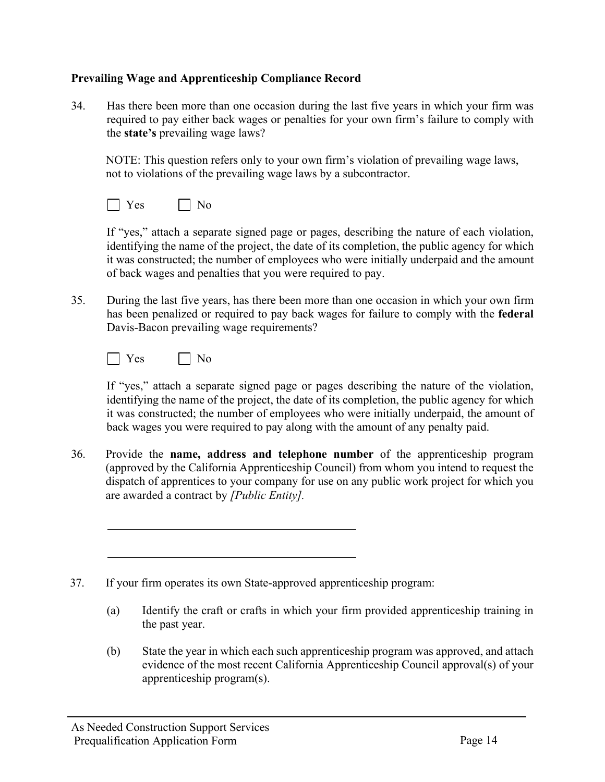## **Prevailing Wage and Apprenticeship Compliance Record**

34. Has there been more than one occasion during the last five years in which your firm was required to pay either back wages or penalties for your own firm's failure to comply with the **state's** prevailing wage laws?

NOTE: This question refers only to your own firm's violation of prevailing wage laws, not to violations of the prevailing wage laws by a subcontractor.

|--|--|

If "yes," attach a separate signed page or pages, describing the nature of each violation, identifying the name of the project, the date of its completion, the public agency for which it was constructed; the number of employees who were initially underpaid and the amount of back wages and penalties that you were required to pay.

35. During the last five years, has there been more than one occasion in which your own firm has been penalized or required to pay back wages for failure to comply with the **federal**  Davis-Bacon prevailing wage requirements?



If "yes," attach a separate signed page or pages describing the nature of the violation, identifying the name of the project, the date of its completion, the public agency for which it was constructed; the number of employees who were initially underpaid, the amount of back wages you were required to pay along with the amount of any penalty paid.

36. Provide the **name, address and telephone number** of the apprenticeship program (approved by the California Apprenticeship Council) from whom you intend to request the dispatch of apprentices to your company for use on any public work project for which you are awarded a contract by *[Public Entity].*

37. If your firm operates its own State-approved apprenticeship program:

- (a) Identify the craft or crafts in which your firm provided apprenticeship training in the past year.
- (b) State the year in which each such apprenticeship program was approved, and attach evidence of the most recent California Apprenticeship Council approval(s) of your apprenticeship program(s).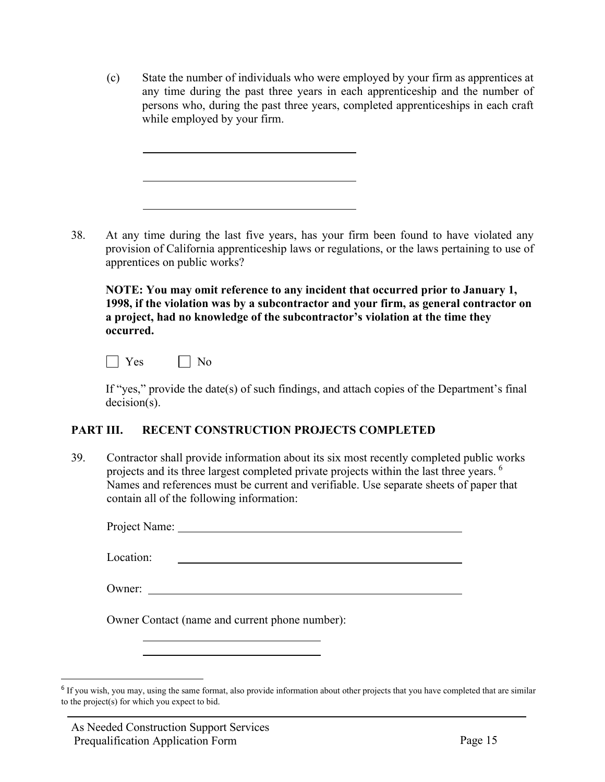(c) State the number of individuals who were employed by your firm as apprentices at any time during the past three years in each apprenticeship and the number of persons who, during the past three years, completed apprenticeships in each craft while employed by your firm.

38. At any time during the last five years, has your firm been found to have violated any provision of California apprenticeship laws or regulations, or the laws pertaining to use of apprentices on public works?

**NOTE: You may omit reference to any incident that occurred prior to January 1, 1998, if the violation was by a subcontractor and your firm, as general contractor on a project, had no knowledge of the subcontractor's violation at the time they occurred.**

 $\vert$  Yes  $\vert$  No

If "yes," provide the date(s) of such findings, and attach copies of the Department's final decision(s).

## **PART III. RECENT CONSTRUCTION PROJECTS COMPLETED**

39. Contractor shall provide information about its six most recently completed public works projects and its three largest completed private projects within the last three years.  $6$ Names and references must be current and verifiable. Use separate sheets of paper that contain all of the following information:

Project Name:

Location:

Owner:

Owner Contact (name and current phone number):

<span id="page-20-0"></span><sup>&</sup>lt;sup>6</sup> If you wish, you may, using the same format, also provide information about other projects that you have completed that are similar to the project(s) for which you expect to bid.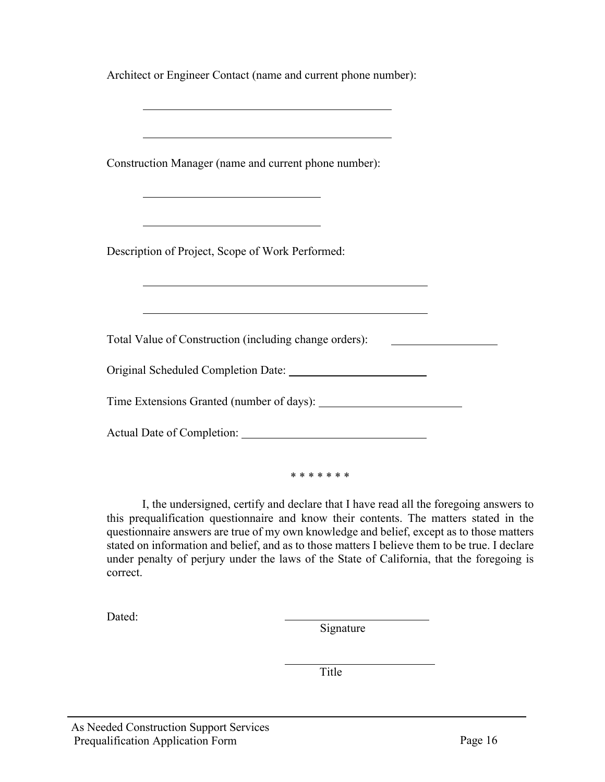| Architect or Engineer Contact (name and current phone number):   |
|------------------------------------------------------------------|
|                                                                  |
| Construction Manager (name and current phone number):            |
| <u> 1989 - Johann Barn, amerikansk politiker (d. 1989)</u>       |
| Description of Project, Scope of Work Performed:                 |
| <u> 1989 - Andrea Stadt Britain, amerikansk politik (* 1958)</u> |
| Total Value of Construction (including change orders):           |
|                                                                  |
|                                                                  |
|                                                                  |
| * * * * * * *                                                    |

I, the undersigned, certify and declare that I have read all the foregoing answers to this prequalification questionnaire and know their contents. The matters stated in the questionnaire answers are true of my own knowledge and belief, except as to those matters stated on information and belief, and as to those matters I believe them to be true. I declare under penalty of perjury under the laws of the State of California, that the foregoing is correct.

Dated:

Signature

Title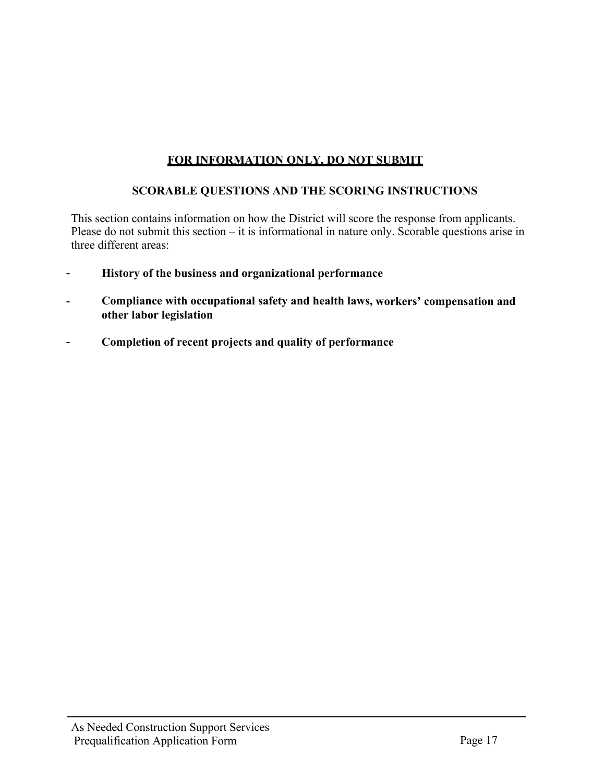# **FOR INFORMATION ONLY, DO NOT SUBMIT**

## **SCORABLE QUESTIONS AND THE SCORING INSTRUCTIONS**

This section contains information on how the District will score the response from applicants. Please do not submit this section – it is informational in nature only. Scorable questions arise in three different areas:

- **History of the business and organizational performance**
- **Compliance with occupational safety and health laws, workers' compensation and other labor legislation**
- **Completion of recent projects and quality of performance**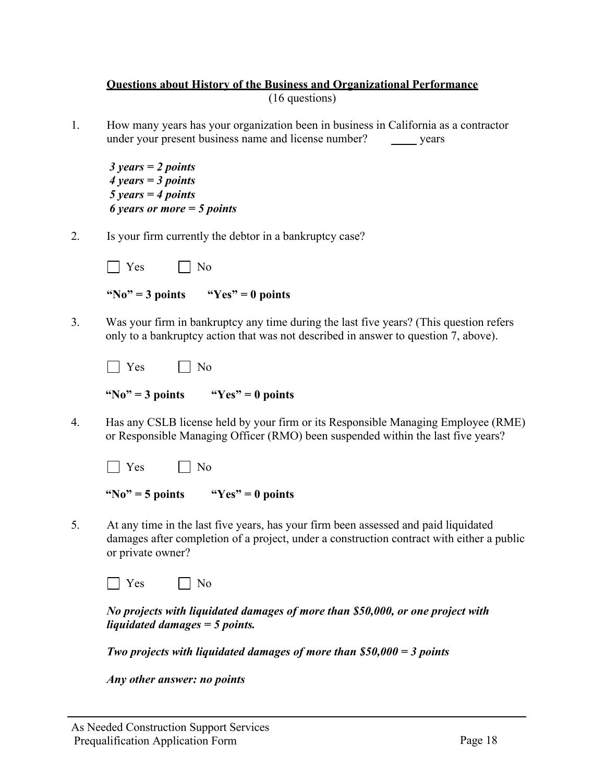## **Questions about History of the Business and Organizational Performance** (16 questions)

1. How many years has your organization been in business in California as a contractor under your present business name and license number? years

*3 years = 2 points 4 years = 3 points 5 years = 4 points 6 years or more = 5 points* 

2. Is your firm currently the debtor in a bankruptcy case?

| ∸⊾ |  |
|----|--|
|    |  |

**"No" = 3 points "Yes" = 0 points**

3. Was your firm in bankruptcy any time during the last five years? (This question refers only to a bankruptcy action that was not described in answer to question 7, above).

| - 19 | $\Omega$<br>-<br>- |
|------|--------------------|
|------|--------------------|

| "No" = 3 points | " $Yes" = 0 points$ |
|-----------------|---------------------|
|                 |                     |

4. Has any CSLB license held by your firm or its Responsible Managing Employee (RME) or Responsible Managing Officer (RMO) been suspended within the last five years?

| c |  |
|---|--|
|---|--|

**"No" = 5 points "Yes" = 0 points**

5. At any time in the last five years, has your firm been assessed and paid liquidated damages after completion of a project, under a construction contract with either a public or private owner?

 $\Box$  Yes  $\Box$  No

*No projects with liquidated damages of more than \$50,000, or one project with liquidated damages = 5 points.*

*Two projects with liquidated damages of more than \$50,000 = 3 points* 

*Any other answer: no points*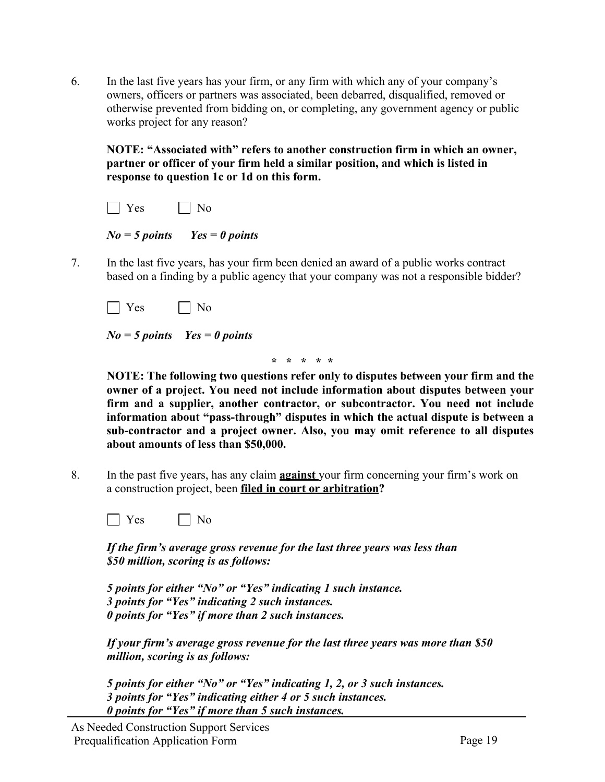6. In the last five years has your firm, or any firm with which any of your company's owners, officers or partners was associated, been debarred, disqualified, removed or otherwise prevented from bidding on, or completing, any government agency or public works project for any reason?

**NOTE: "Associated with" refers to another construction firm in which an owner, partner or officer of your firm held a similar position, and which is listed in response to question 1c or 1d on this form.**





7. In the last five years, has your firm been denied an award of a public works contract based on a finding by a public agency that your company was not a responsible bidder?

 $\Box$  Yes  $\Box$  No

*No = 5 points Yes = 0 points*

**\* \* \* \* \***

**NOTE: The following two questions refer only to disputes between your firm and the owner of a project. You need not include information about disputes between your firm and a supplier, another contractor, or subcontractor. You need not include information about "pass-through" disputes in which the actual dispute is between a sub-contractor and a project owner. Also, you may omit reference to all disputes about amounts of less than \$50,000.**

8. In the past five years, has any claim **against** your firm concerning your firm's work on a construction project, been **filed in court or arbitration?**

| -- |  |
|----|--|
|    |  |
|    |  |
|    |  |

*If the firm's average gross revenue for the last three years was less than \$50 million, scoring is as follows:*

*5 points for either "No" or "Yes" indicating 1 such instance. 3 points for "Yes" indicating 2 such instances. 0 points for "Yes" if more than 2 such instances.*

*If your firm's average gross revenue for the last three years was more than \$50 million, scoring is as follows:*

*5 points for either "No" or "Yes" indicating 1, 2, or 3 such instances. 3 points for "Yes" indicating either 4 or 5 such instances. 0 points for "Yes" if more than 5 such instances.*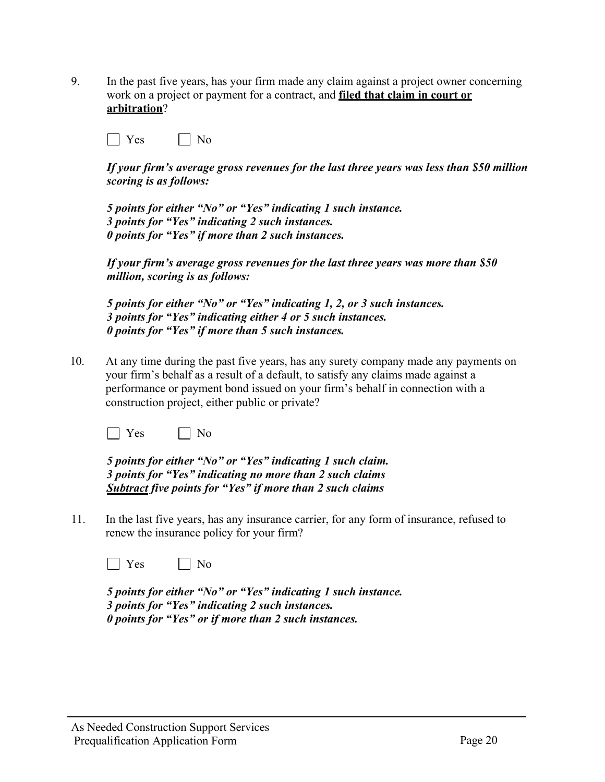9. In the past five years, has your firm made any claim against a project owner concerning work on a project or payment for a contract, and **filed that claim in court or arbitration**?

No No

*If your firm's average gross revenues for the last three years was less than \$50 million scoring is as follows:*

*5 points for either "No" or "Yes" indicating 1 such instance. 3 points for "Yes" indicating 2 such instances. 0 points for "Yes" if more than 2 such instances.*

*If your firm's average gross revenues for the last three years was more than \$50 million, scoring is as follows:*

*5 points for either "No" or "Yes" indicating 1, 2, or 3 such instances. 3 points for "Yes" indicating either 4 or 5 such instances. 0 points for "Yes" if more than 5 such instances.*

10. At any time during the past five years, has any surety company made any payments on your firm's behalf as a result of a default, to satisfy any claims made against a performance or payment bond issued on your firm's behalf in connection with a construction project, either public or private?

 $\vert$  Yes  $\vert$  No

*5 points for either "No" or "Yes" indicating 1 such claim. 3 points for "Yes" indicating no more than 2 such claims Subtract five points for "Yes" if more than 2 such claims*

11. In the last five years, has any insurance carrier, for any form of insurance, refused to renew the insurance policy for your firm?

 $\Box$  Yes  $\Box$  No

*5 points for either "No" or "Yes" indicating 1 such instance. 3 points for "Yes" indicating 2 such instances. 0 points for "Yes" or if more than 2 such instances.*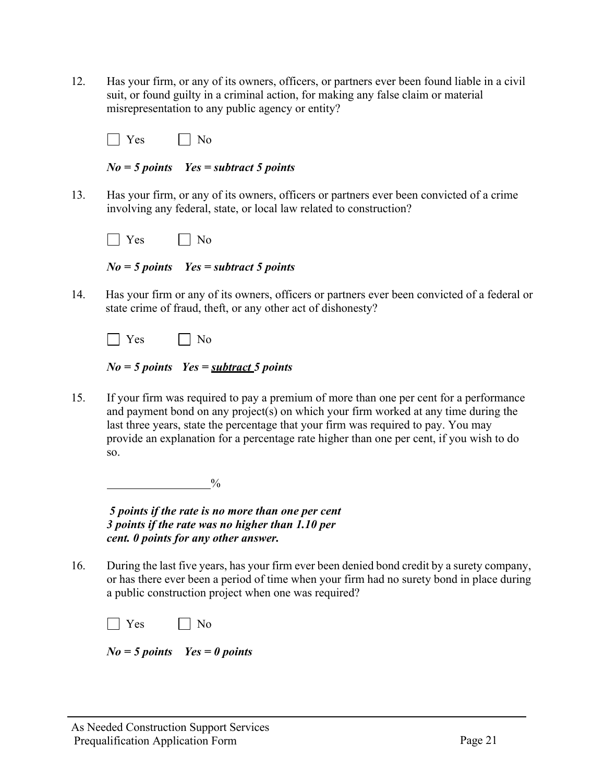12. Has your firm, or any of its owners, officers, or partners ever been found liable in a civil suit, or found guilty in a criminal action, for making any false claim or material misrepresentation to any public agency or entity?

No No

*No = 5 points Yes = subtract 5 points*

13. Has your firm, or any of its owners, officers or partners ever been convicted of a crime involving any federal, state, or local law related to construction?

*No = 5 points Yes = subtract 5 points*

14. Has your firm or any of its owners, officers or partners ever been convicted of a federal or state crime of fraud, theft, or any other act of dishonesty?

|  | $N_o = 5$ points $Yes = subtract 5$ points |
|--|--------------------------------------------|
|--|--------------------------------------------|

15. If your firm was required to pay a premium of more than one per cent for a performance and payment bond on any project(s) on which your firm worked at any time during the last three years, state the percentage that your firm was required to pay. You may provide an explanation for a percentage rate higher than one per cent, if you wish to do so.

 $\sim$  0%

*5 points if the rate is no more than one per cent 3 points if the rate was no higher than 1.10 per cent. 0 points for any other answer.*

16. During the last five years, has your firm ever been denied bond credit by a surety company, or has there ever been a period of time when your firm had no surety bond in place during a public construction project when one was required?

|  | _____ |
|--|-------|
|--|-------|

*No = 5 points Yes = 0 points*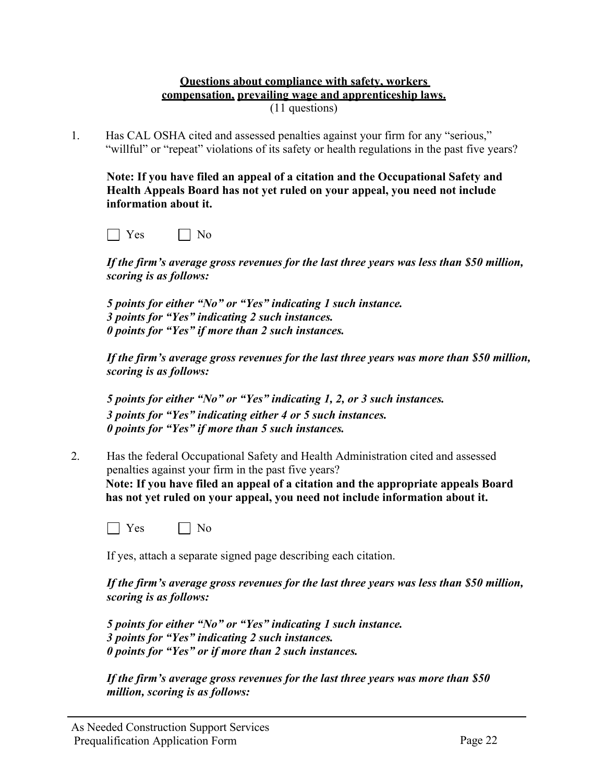#### **Questions about compliance with safety, workers compensation, prevailing wage and apprenticeship laws.** (11 questions)

1. Has CAL OSHA cited and assessed penalties against your firm for any "serious," "willful" or "repeat" violations of its safety or health regulations in the past five years?

**Note: If you have filed an appeal of a citation and the Occupational Safety and Health Appeals Board has not yet ruled on your appeal, you need not include information about it.**

| - | - |
|---|---|
|---|---|

*If the firm's average gross revenues for the last three years was less than \$50 million, scoring is as follows:*

*5 points for either "No" or "Yes" indicating 1 such instance. 3 points for "Yes" indicating 2 such instances. 0 points for "Yes" if more than 2 such instances.*

*If the firm's average gross revenues for the last three years was more than \$50 million, scoring is as follows:*

*5 points for either "No" or "Yes" indicating 1, 2, or 3 such instances. 3 points for "Yes" indicating either 4 or 5 such instances. 0 points for "Yes" if more than 5 such instances.*

2. Has the federal Occupational Safety and Health Administration cited and assessed penalties against your firm in the past five years? **Note: If you have filed an appeal of a citation and the appropriate appeals Board has not yet ruled on your appeal, you need not include information about it.**

| c | N٢ |
|---|----|
|---|----|

If yes, attach a separate signed page describing each citation.

*If the firm's average gross revenues for the last three years was less than \$50 million, scoring is as follows:*

*5 points for either "No" or "Yes" indicating 1 such instance. 3 points for "Yes" indicating 2 such instances. 0 points for "Yes" or if more than 2 such instances.*

*If the firm's average gross revenues for the last three years was more than \$50 million, scoring is as follows:*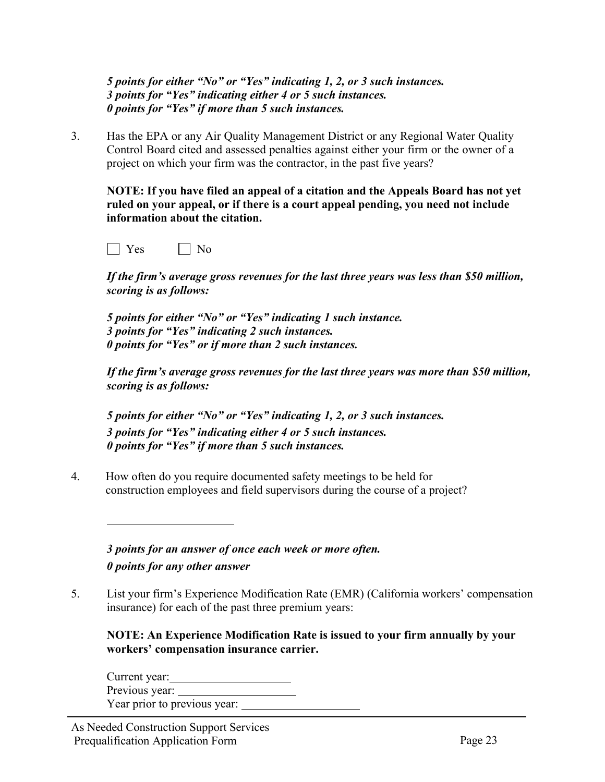*5 points for either "No" or "Yes" indicating 1, 2, or 3 such instances. 3 points for "Yes" indicating either 4 or 5 such instances. 0 points for "Yes" if more than 5 such instances.*

3. Has the EPA or any Air Quality Management District or any Regional Water Quality Control Board cited and assessed penalties against either your firm or the owner of a project on which your firm was the contractor, in the past five years?

**NOTE: If you have filed an appeal of a citation and the Appeals Board has not yet ruled on your appeal, or if there is a court appeal pending, you need not include information about the citation.**

 $\Box$  Yes  $\Box$  No

*If the firm's average gross revenues for the last three years was less than \$50 million, scoring is as follows:*

*5 points for either "No" or "Yes" indicating 1 such instance. 3 points for "Yes" indicating 2 such instances. 0 points for "Yes" or if more than 2 such instances.*

*If the firm's average gross revenues for the last three years was more than \$50 million, scoring is as follows:* 

*5 points for either "No" or "Yes" indicating 1, 2, or 3 such instances. 3 points for "Yes" indicating either 4 or 5 such instances. 0 points for "Yes" if more than 5 such instances.*

4. How often do you require documented safety meetings to be held for construction employees and field supervisors during the course of a project?

*3 points for an answer of once each week or more often. 0 points for any other answer*

5. List your firm's Experience Modification Rate (EMR) (California workers' compensation insurance) for each of the past three premium years:

**NOTE: An Experience Modification Rate is issued to your firm annually by your workers' compensation insurance carrier.**

Current year: Previous year: Year prior to previous year: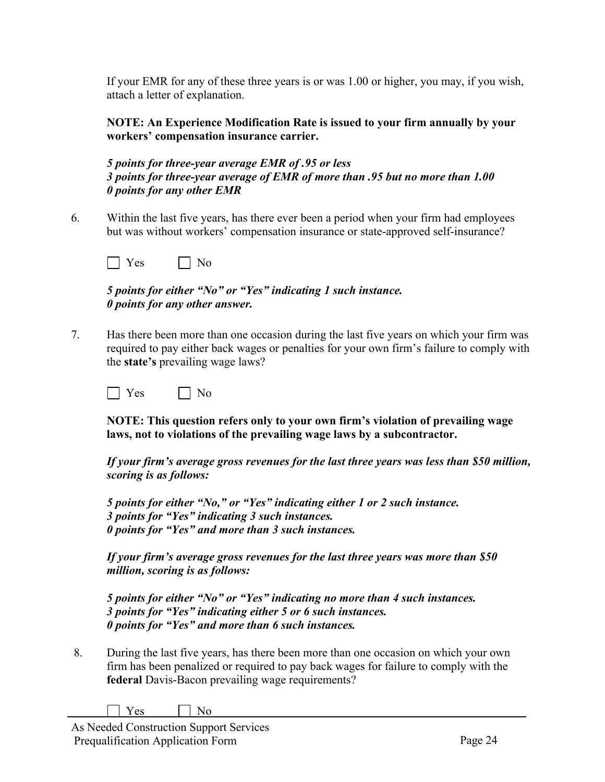If your EMR for any of these three years is or was 1.00 or higher, you may, if you wish, attach a letter of explanation.

**NOTE: An Experience Modification Rate is issued to your firm annually by your workers' compensation insurance carrier.**

*5 points for three-year average EMR of .95 or less 3 points for three-year average of EMR of more than .95 but no more than 1.00 0 points for any other EMR*

6. Within the last five years, has there ever been a period when your firm had employees but was without workers' compensation insurance or state-approved self-insurance?

|--|--|

*5 points for either "No" or "Yes" indicating 1 such instance. 0 points for any other answer.*

7. Has there been more than one occasion during the last five years on which your firm was required to pay either back wages or penalties for your own firm's failure to comply with the **state's** prevailing wage laws?

 $\Box$  Yes  $\Box$  No

**NOTE: This question refers only to your own firm's violation of prevailing wage laws, not to violations of the prevailing wage laws by a subcontractor.**

*If your firm's average gross revenues for the last three years was less than \$50 million, scoring is as follows:*

*5 points for either "No," or "Yes" indicating either 1 or 2 such instance. 3 points for "Yes" indicating 3 such instances. 0 points for "Yes" and more than 3 such instances.*

*If your firm's average gross revenues for the last three years was more than \$50 million, scoring is as follows:*

*5 points for either "No" or "Yes" indicating no more than 4 such instances. 3 points for "Yes" indicating either 5 or 6 such instances. 0 points for "Yes" and more than 6 such instances.*

8. During the last five years, has there been more than one occasion on which your own firm has been penalized or required to pay back wages for failure to comply with the **federal** Davis-Bacon prevailing wage requirements?

| N٥<br>υ |
|---------|
|---------|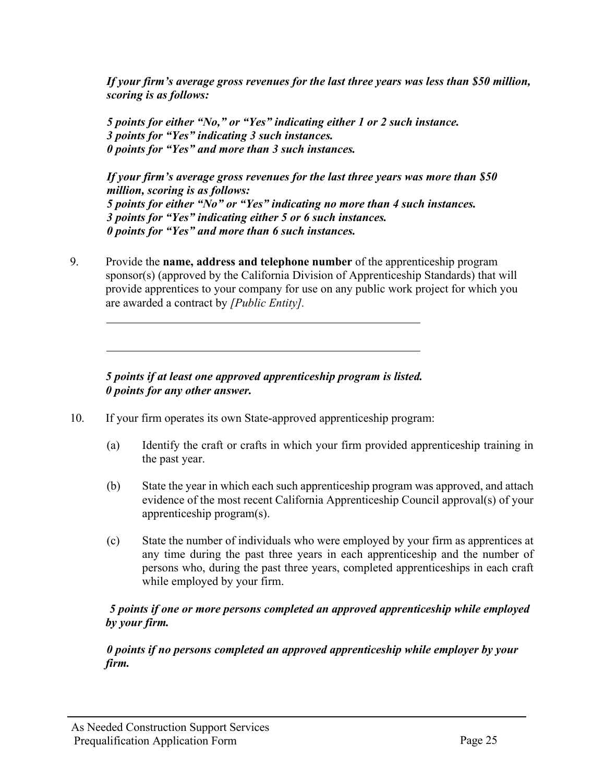*If your firm's average gross revenues for the last three years was less than \$50 million, scoring is as follows:*

*5 points for either "No," or "Yes" indicating either 1 or 2 such instance. 3 points for "Yes" indicating 3 such instances. 0 points for "Yes" and more than 3 such instances.*

*If your firm's average gross revenues for the last three years was more than \$50 million, scoring is as follows: 5 points for either "No" or "Yes" indicating no more than 4 such instances. 3 points for "Yes" indicating either 5 or 6 such instances. 0 points for "Yes" and more than 6 such instances.*

9. Provide the **name, address and telephone number** of the apprenticeship program sponsor(s) (approved by the California Division of Apprenticeship Standards) that will provide apprentices to your company for use on any public work project for which you are awarded a contract by *[Public Entity].*

## *5 points if at least one approved apprenticeship program is listed. 0 points for any other answer.*

- 10. If your firm operates its own State-approved apprenticeship program:
	- (a) Identify the craft or crafts in which your firm provided apprenticeship training in the past year.
	- (b) State the year in which each such apprenticeship program was approved, and attach evidence of the most recent California Apprenticeship Council approval(s) of your apprenticeship program(s).
	- (c) State the number of individuals who were employed by your firm as apprentices at any time during the past three years in each apprenticeship and the number of persons who, during the past three years, completed apprenticeships in each craft while employed by your firm.

## *5 points if one or more persons completed an approved apprenticeship while employed by your firm.*

*0 points if no persons completed an approved apprenticeship while employer by your firm.*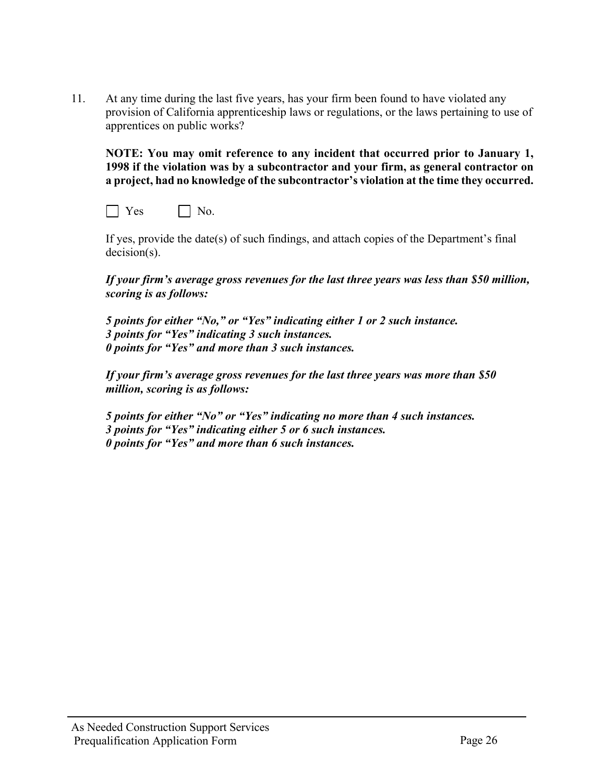11. At any time during the last five years, has your firm been found to have violated any provision of California apprenticeship laws or regulations, or the laws pertaining to use of apprentices on public works?

**NOTE: You may omit reference to any incident that occurred prior to January 1, 1998 if the violation was by a subcontractor and your firm, as general contractor on a project, had no knowledge of the subcontractor's violation at the time they occurred.**

 $\Box$  Yes  $\Box$  No.

If yes, provide the date(s) of such findings, and attach copies of the Department's final decision(s).

*If your firm's average gross revenues for the last three years was less than \$50 million, scoring is as follows:*

*5 points for either "No," or "Yes" indicating either 1 or 2 such instance. 3 points for "Yes" indicating 3 such instances. 0 points for "Yes" and more than 3 such instances.*

*If your firm's average gross revenues for the last three years was more than \$50 million, scoring is as follows:*

*5 points for either "No" or "Yes" indicating no more than 4 such instances. 3 points for "Yes" indicating either 5 or 6 such instances. 0 points for "Yes" and more than 6 such instances.*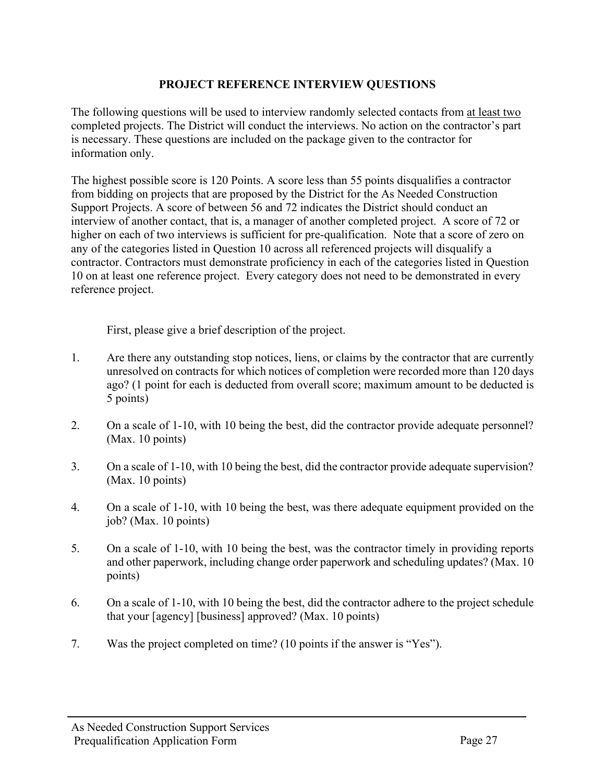## **PROJECT REFERENCE INTERVIEW QUESTIONS**

The following questions will be used to interview randomly selected contacts from at least two completed projects. The District will conduct the interviews. No action on the contractor's part is necessary. These questions are included on the package given to the contractor for information only.

The highest possible score is 120 Points. A score less than 55 points disqualifies a contractor from bidding on projects that are proposed by the District for the As Needed Construction Support Projects. A score of between 56 and 72 indicates the District should conduct an interview of another contact, that is, a manager of another completed project. A score of 72 or higher on each of two interviews is sufficient for pre-qualification. Note that a score of zero on any of the categories listed in Question 10 across all referenced projects will disqualify a contractor. Contractors must demonstrate proficiency in each of the categories listed in Question 10 on at least one reference project. Every category does not need to be demonstrated in every reference project.

First, please give a brief description of the project.

- 1. Are there any outstanding stop notices, liens, or claims by the contractor that are currently unresolved on contracts for which notices of completion were recorded more than 120 days ago? (1 point for each is deducted from overall score; maximum amount to be deducted is 5 points)
- 2. On a scale of 1-10, with 10 being the best, did the contractor provide adequate personnel? (Max. 10 points)
- 3. On a scale of 1-10, with 10 being the best, did the contractor provide adequate supervision? (Max. 10 points)
- 4. On a scale of 1-10, with 10 being the best, was there adequate equipment provided on the job? (Max. 10 points)
- 5. On a scale of 1-10, with 10 being the best, was the contractor timely in providing reports and other paperwork, including change order paperwork and scheduling updates? (Max. 10 points)
- 6. On a scale of 1-10, with 10 being the best, did the contractor adhere to the project schedule that your [agency] [business] approved? (Max. 10 points)
- 7. Was the project completed on time? (10 points if the answer is "Yes").